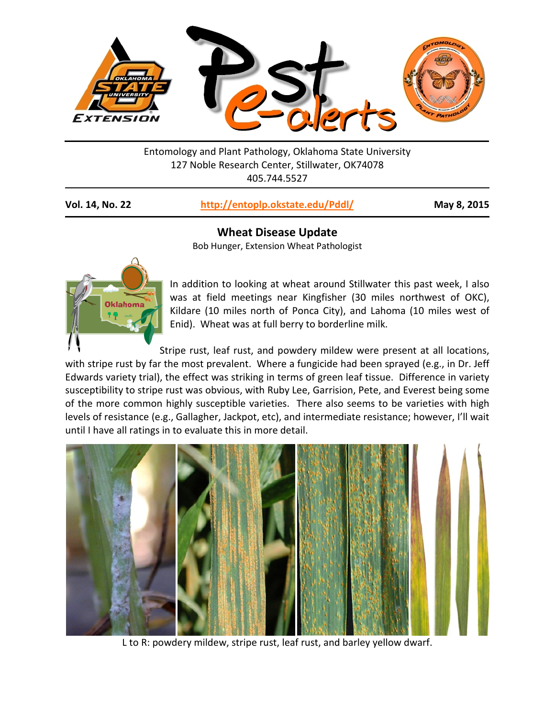

Entomology and Plant Pathology, Oklahoma State University 127 Noble Research Center, Stillwater, OK74078 405.744.5527

**Vol. 14, No. 22 <http://entoplp.okstate.edu/Pddl/> May 8, 2015**

## **Wheat Disease Update**

Bob Hunger, Extension Wheat Pathologist



In addition to looking at wheat around Stillwater this past week, I also was at field meetings near Kingfisher (30 miles northwest of OKC), Kildare (10 miles north of Ponca City), and Lahoma (10 miles west of Enid). Wheat was at full berry to borderline milk.

Stripe rust, leaf rust, and powdery mildew were present at all locations, with stripe rust by far the most prevalent. Where a fungicide had been sprayed (e.g., in Dr. Jeff Edwards variety trial), the effect was striking in terms of green leaf tissue. Difference in variety susceptibility to stripe rust was obvious, with Ruby Lee, Garrision, Pete, and Everest being some of the more common highly susceptible varieties. There also seems to be varieties with high levels of resistance (e.g., Gallagher, Jackpot, etc), and intermediate resistance; however, I'll wait until I have all ratings in to evaluate this in more detail.



L to R: powdery mildew, stripe rust, leaf rust, and barley yellow dwarf.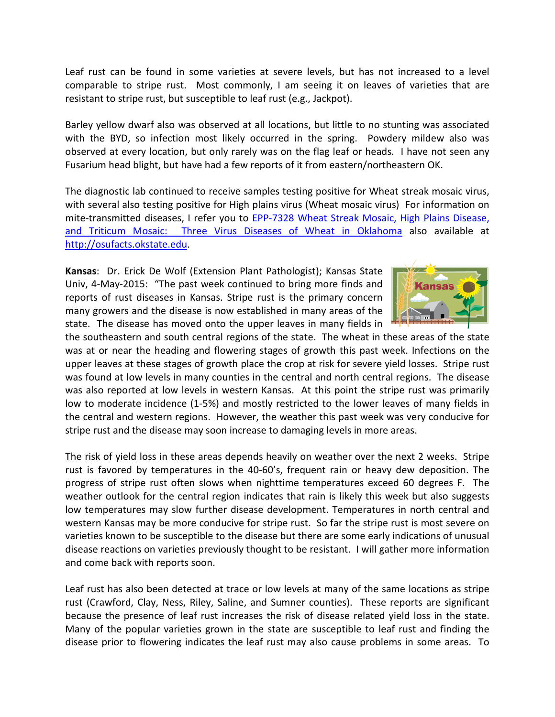Leaf rust can be found in some varieties at severe levels, but has not increased to a level comparable to stripe rust. Most commonly, I am seeing it on leaves of varieties that are resistant to stripe rust, but susceptible to leaf rust (e.g., Jackpot).

Barley yellow dwarf also was observed at all locations, but little to no stunting was associated with the BYD, so infection most likely occurred in the spring. Powdery mildew also was observed at every location, but only rarely was on the flag leaf or heads. I have not seen any Fusarium head blight, but have had a few reports of it from eastern/northeastern OK.

The diagnostic lab continued to receive samples testing positive for Wheat streak mosaic virus, with several also testing positive for High plains virus (Wheat mosaic virus) For information on mite-transmitted diseases, I refer you to EPP-7328 Wheat Streak Mosaic, High Plains Disease, and Triticum Mosaic: Three Virus Diseases of Wheat in Oklahoma also available at [http://osufacts.okstate.edu.](http://osufacts.okstate.edu/)

**Kansas**: Dr. Erick De Wolf (Extension Plant Pathologist); Kansas State Univ, 4-May-2015: "The past week continued to bring more finds and reports of rust diseases in Kansas. Stripe rust is the primary concern many growers and the disease is now established in many areas of the state. The disease has moved onto the upper leaves in many fields in



the southeastern and south central regions of the state. The wheat in these areas of the state was at or near the heading and flowering stages of growth this past week. Infections on the upper leaves at these stages of growth place the crop at risk for severe yield losses. Stripe rust was found at low levels in many counties in the central and north central regions. The disease was also reported at low levels in western Kansas. At this point the stripe rust was primarily low to moderate incidence (1-5%) and mostly restricted to the lower leaves of many fields in the central and western regions. However, the weather this past week was very conducive for stripe rust and the disease may soon increase to damaging levels in more areas.

The risk of yield loss in these areas depends heavily on weather over the next 2 weeks. Stripe rust is favored by temperatures in the 40-60's, frequent rain or heavy dew deposition. The progress of stripe rust often slows when nighttime temperatures exceed 60 degrees F. The weather outlook for the central region indicates that rain is likely this week but also suggests low temperatures may slow further disease development. Temperatures in north central and western Kansas may be more conducive for stripe rust. So far the stripe rust is most severe on varieties known to be susceptible to the disease but there are some early indications of unusual disease reactions on varieties previously thought to be resistant. I will gather more information and come back with reports soon.

Leaf rust has also been detected at trace or low levels at many of the same locations as stripe rust (Crawford, Clay, Ness, Riley, Saline, and Sumner counties). These reports are significant because the presence of leaf rust increases the risk of disease related yield loss in the state. Many of the popular varieties grown in the state are susceptible to leaf rust and finding the disease prior to flowering indicates the leaf rust may also cause problems in some areas. To